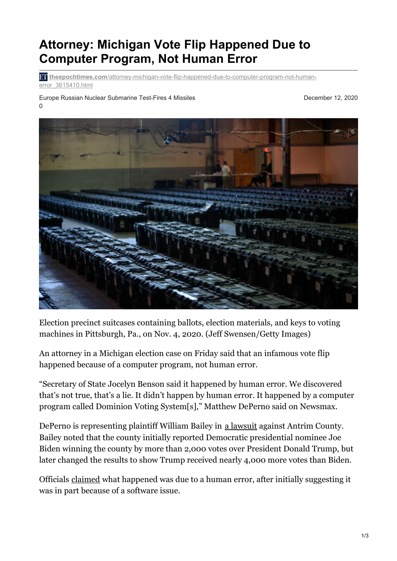## **Attorney: Michigan Vote Flip Happened Due to Computer Program, Not Human Error**

**theepochtimes.com**[/attorney-michigan-vote-flip-happened-due-to-computer-program-not-human](https://www.theepochtimes.com/attorney-michigan-vote-flip-happened-due-to-computer-program-not-human-error_3615410.html?utm_source=pushengage)error\_3615410.html

Europe Russian Nuclear Submarine Test-Fires 4 Missiles 0

December 12, 2020



Election precinct suitcases containing ballots, election materials, and keys to voting machines in Pittsburgh, Pa., on Nov. 4, 2020. (Jeff Swensen/Getty Images)

An attorney in a Michigan election case on Friday said that an infamous vote flip happened because of a computer program, not human error.

"Secretary of State Jocelyn Benson said it happened by human error. We discovered that's not true, that's a lie. It didn't happen by human error. It happened by a computer program called Dominion Voting System[s]," Matthew DePerno said on Newsmax.

DePerno is representing plaintiff William Bailey in a [lawsuit](https://beta.documentcloud.org/documents/20423487-bailey-v-antrim-county-complaint) against Antrim County. Bailey noted that the county initially reported Democratic presidential nominee Joe Biden winning the county by more than 2,000 votes over President Donald Trump, but later changed the results to show Trump received nearly 4,000 more votes than Biden.

Officials [claimed](https://www.theepochtimes.com/mkt_app/officials-blame-human-error-for-michigan-countys-skewed-election-results_3571393.html) what happened was due to a human error, after initially suggesting it was in part because of a software issue.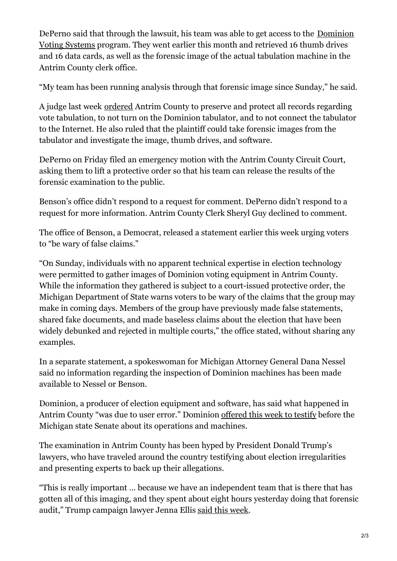DePerno said that through the lawsuit, his team was able to get access to the [Dominion](https://www.theepochtimes.com/t-dominion-voting-systems) Voting Systems program. They went earlier this month and retrieved 16 thumb drives and 16 data cards, as well as the forensic image of the actual tabulation machine in the Antrim County clerk office.

"My team has been running analysis through that forensic image since Sunday," he said.

A judge last week [ordered](https://beta.documentcloud.org/documents/20423474-judge-order-in-antrim-county) Antrim County to preserve and protect all records regarding vote tabulation, to not turn on the Dominion tabulator, and to not connect the tabulator to the Internet. He also ruled that the plaintiff could take forensic images from the tabulator and investigate the image, thumb drives, and software.

DePerno on Friday filed an emergency motion with the Antrim County Circuit Court, asking them to lift a protective order so that his team can release the results of the forensic examination to the public.

Benson's office didn't respond to a request for comment. DePerno didn't respond to a request for more information. Antrim County Clerk Sheryl Guy declined to comment.

The office of Benson, a Democrat, released a statement earlier this week urging voters to "be wary of false claims."

"On Sunday, individuals with no apparent technical expertise in election technology were permitted to gather images of Dominion voting equipment in Antrim County. While the information they gathered is subject to a court-issued protective order, the Michigan Department of State warns voters to be wary of the claims that the group may make in coming days. Members of the group have previously made false statements, shared fake documents, and made baseless claims about the election that have been widely debunked and rejected in multiple courts," the office stated, without sharing any examples.

In a separate statement, a spokeswoman for Michigan Attorney General Dana Nessel said no information regarding the inspection of Dominion machines has been made available to Nessel or Benson.

Dominion, a producer of election equipment and software, has said what happened in Antrim County "was due to user error." Dominion [offered](https://www.theepochtimes.com/dominion-offers-to-testify-in-michigan-amid-allegations-its-machines-can-switch-votes_3613385.html) this week to testify before the Michigan state Senate about its operations and machines.

The examination in Antrim County has been hyped by President Donald Trump's lawyers, who have traveled around the country testifying about election irregularities and presenting experts to back up their allegations.

"This is really important … because we have an independent team that is there that has gotten all of this imaging, and they spent about eight hours yesterday doing that forensic audit," Trump campaign lawyer Jenna Ellis said this [week](https://www.theepochtimes.com/mkt_app/trump-lawyer-jenna-ellis-independent-team-involved-in-forensic-audit-of-22-dominion-machines-in-michigan_3606722.html).